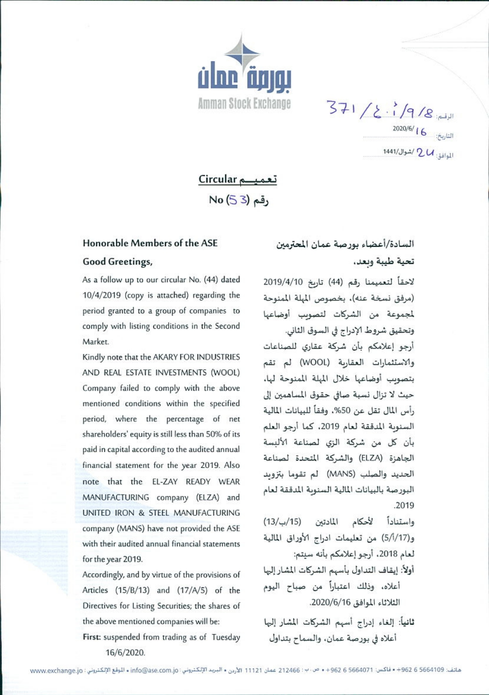

 $371/2.1/9/8$ 2020/6/ 1 في بينتر بين المستقبل الشاريخية المستقبل المستقبل المستقبل المستقبل المستقبل المستقبل المستقبل المس<br>مستقبل المستقبل المستقبل المستقبل المستقبل المستقبل المستقبل المستقبل المستقبل المستقبل المستقبل المستقبل المس المطالق: 2 /شوال/1441

تعمیـــم Circular No (53) مقم

## Honorable Members of the ASE

## Good Greetings,

As a follow up to our circular No. (44) dated 10/4/2019 (copy is attached) regarding the period granted to a group of companies to comply with listing conditions in the Second Market.

Kindly note that the AKARY FOR INDUSTRIES AND REAL ESTATE INVESTMENTS (WOOL) Company failed to comply with the above mentioned conditions within the specified period, where the percentage of net shareholders' equity is still less than 50% of its paid in capital according to the audited annual financial statement for the year 2019. Also note that the EL-ZAY READY WEAR MANUFACTURING company (ELZA) and UNITED IRON & STEEL MANUFACTURING company (MANS) have not provided the ASE with their audited annual financial statements for the year 2019.

Accordingly, and by virtue of the provisions of Articles (15/B/13) and (17/A/5) of the Directives for Listing Securities; the shares of the above mentioned companies will be:

First: suspended from trading as of Tuesday 16/6/2020.

## السادة/أعضاء بورصة عمان المعترمين تحية طيبة وبعد،

لاحقاً لتعميمنا رقم (44) تارىخ 2019/4/10 (مرفق نسخة عنه)، بخصوص الملة المنوحة لمجموعة من الشركات لتصويب أوضاعها وتحقيق شروط الإدراج في السوق الثاني. أرجو إعلامكم بأن شركة عقارى للصناعات والاستثمارات العقاربة (WOOL) لم تقم بتصويب أوضاعها خلال الميلة الممنوحة لها، حيث لا تزال نسبة صافي حقوق المساهمين إلى رأس المال تقل عن 50%، وفقاً للبيانات المالية السنوبة المدققة لعام 2019، كما أرجو العلم بأن كل من شركة الزي لصناعة الألبسة الجاهزة (ELZA) والشركة المتحدة لصناعة الحديد والصلب (MANS) لم تقوما بتزويد البورصة بالبيانات المالية السنوبة المدققة لعام  $.2019$ 

واستناداً لأحكام المادتين (15/ب/13) و(5/1/17) من تعليمات ادراج الأوراق المالية لعام 2018، أرجو إعلامكم بأنه سيتم:

- أولأ: إيقاف التداول بأسهم الشركات المشار إليها أعلاه، وذلك اعتباراً من صباح اليوم الثلاثاء الموافق 2020/6/16.
- ثانياً: إلغاء إدراج أسهم الشركات المشار إليها أعلاه في بورصة عمان، والسماح بتداول